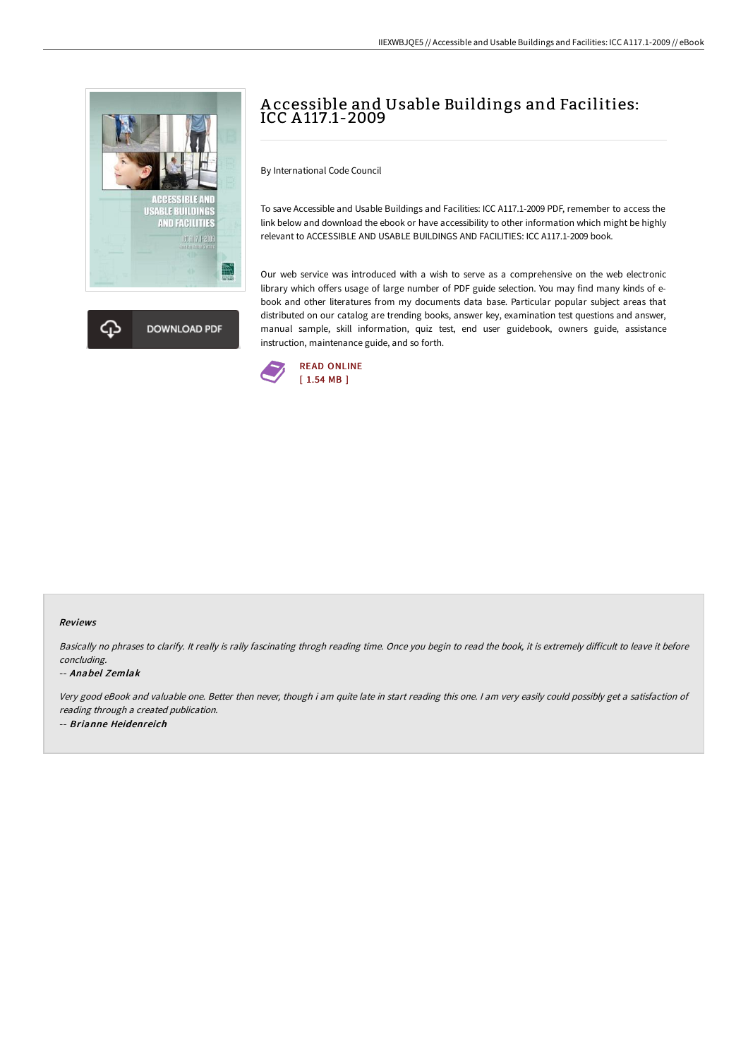



# A ccessible and Usable Buildings and Facilities: ICC A 117.1-2009

By International Code Council

To save Accessible and Usable Buildings and Facilities: ICC A117.1-2009 PDF, remember to access the link below and download the ebook or have accessibility to other information which might be highly relevant to ACCESSIBLE AND USABLE BUILDINGS AND FACILITIES: ICC A117.1-2009 book.

Our web service was introduced with a wish to serve as a comprehensive on the web electronic library which offers usage of large number of PDF guide selection. You may find many kinds of ebook and other literatures from my documents data base. Particular popular subject areas that distributed on our catalog are trending books, answer key, examination test questions and answer, manual sample, skill information, quiz test, end user guidebook, owners guide, assistance instruction, maintenance guide, and so forth.



### Reviews

Basically no phrases to clarify. It really is rally fascinating throgh reading time. Once you begin to read the book, it is extremely difficult to leave it before concluding.

#### -- Anabel Zemlak

Very good eBook and valuable one. Better then never, though i am quite late in start reading this one. <sup>I</sup> am very easily could possibly get <sup>a</sup> satisfaction of reading through <sup>a</sup> created publication. -- Brianne Heidenreich